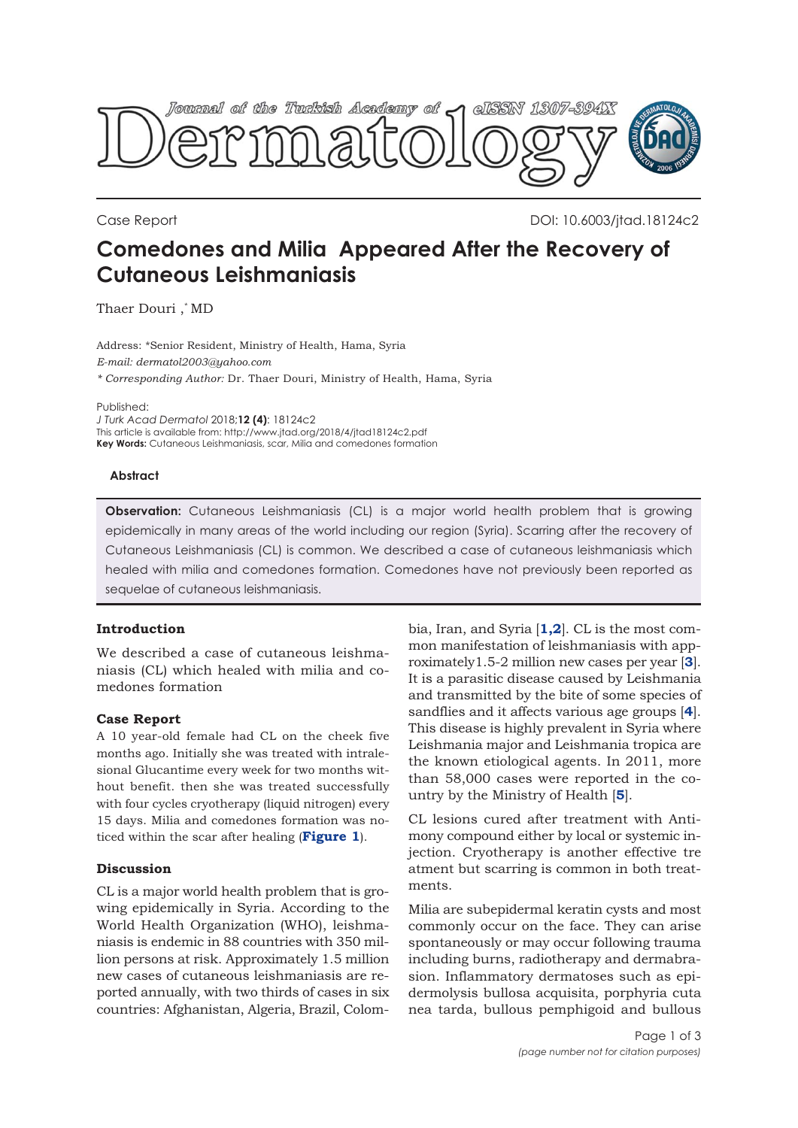

Case Report DOI: 10.6003/jtad.18124c2

# **Comedones and Milia Appeared After the Recovery of Cutaneous Leishmaniasis**

Thaer Douri ,\* MD

Address: \*Senior Resident, Ministry of Health, Hama, Syria *E-mail: dermatol2003@yahoo.com \* Corresponding Author:* Dr. Thaer Douri, Ministry of Health, Hama, Syria

Published:

*J Turk Acad Dermatol* 2018;**12 (4)**: 18124c2 This article is available from: http://www.jtad.org/2018/4/jtad18124c2.pdf **Key Words:** Cutaneous Leishmaniasis, scar, Milia and comedones formation

#### **Abstract**

**Observation:** Cutaneous Leishmaniasis (CL) is a major world health problem that is growing epidemically in many areas of the world including our region (Syria). Scarring after the recovery of Cutaneous Leishmaniasis (CL) is common. We described a case of cutaneous leishmaniasis which healed with milia and comedones formation. Comedones have not previously been reported as sequelae of cutaneous leishmaniasis.

## **Introduction**

We described a case of cutaneous leishmaniasis (CL) which healed with milia and comedones formation

## **Case Report**

A 10 year-old female had CL on the cheek five months ago. Initially she was treated with intralesional Glucantime every week for two months without benefit. then she was treated successfully with four cycles cryotherapy (liquid nitrogen) every 15 days. Milia and comedones formation was noticed within the scar after healing (**[Figure 1](#page-1-0)**).

## **Discussion**

CL is a major world health problem that is growing epidemically in Syria. According to the World Health Organization (WHO), leishmaniasis is endemic in 88 countries with 350 million persons at risk. Approximately 1.5 million new cases of cutaneous leishmaniasis are reported annually, with two thirds of cases in six countries: Afghanistan, Algeria, Brazil, Colom-

bia, Iran, and Syria [**[1,2](#page-2-0)**]. CL is the most common manifestation of leishmaniasis with approximately1.5-2 million new cases per year [**[3](#page-2-0)**]. It is a parasitic disease caused by Leishmania and transmitted by the bite of some species of sandflies and it affects various age groups [**[4](#page-2-0)**]. This disease is highly prevalent in Syria where Leishmania major and Leishmania tropica are the known etiological agents. In 2011, more than 58,000 cases were reported in the country by the Ministry of Health [**[5](#page-2-0)**].

CL lesions cured after treatment with Antimony compound either by local or systemic injection. Cryotherapy is another effective tre atment but scarring is common in both treatments.

Milia are subepidermal keratin cysts and most commonly occur on the face. They can arise spontaneously or may occur following trauma including burns, radiotherapy and dermabrasion. Inflammatory dermatoses such as epidermolysis bullosa acquisita, porphyria cuta nea tarda, bullous pemphigoid and bullous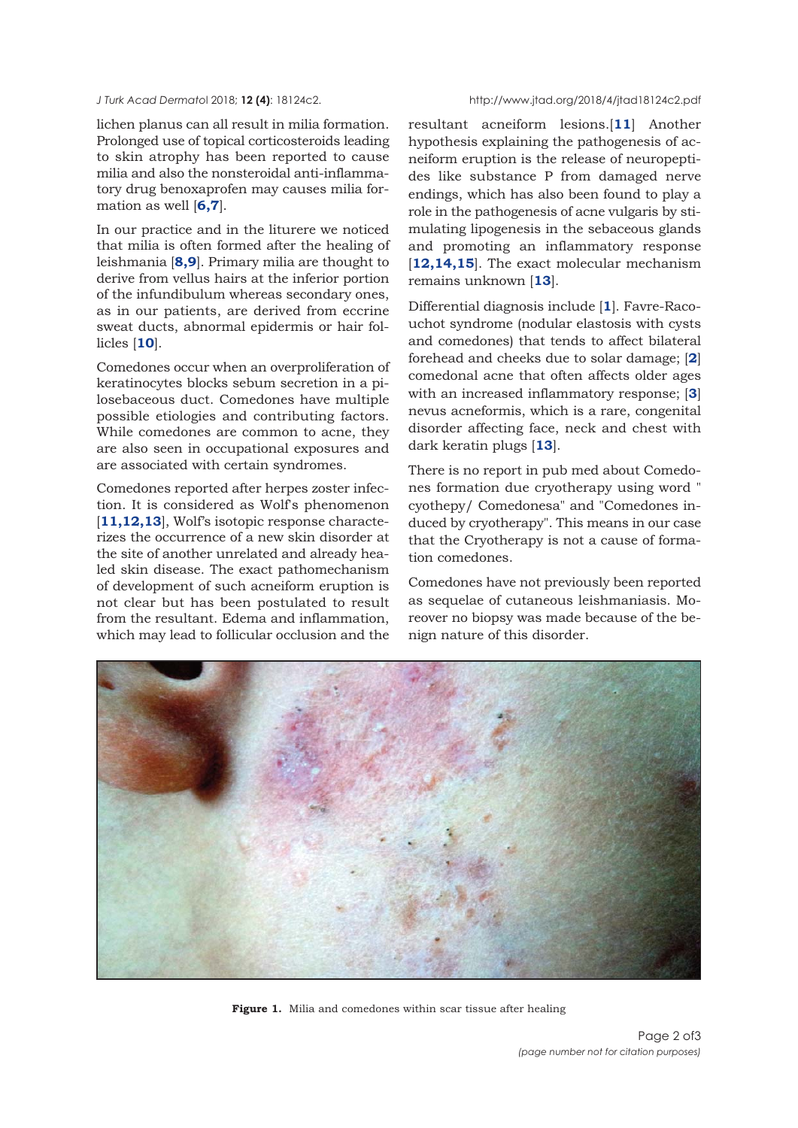<span id="page-1-0"></span>lichen planus can all result in milia formation. Prolonged use of topical corticosteroids leading to skin atrophy has been reported to cause milia and also the nonsteroidal anti-inflammatory drug benoxaprofen may causes milia formation as well [**[6,7](#page-2-0)**].

In our practice and in the liturere we noticed that milia is often formed after the healing of leishmania [**[8,9](#page-2-0)**]. Primary milia are thought to derive from vellus hairs at the inferior portion of the infundibulum whereas secondary ones, as in our patients, are derived from eccrine sweat ducts, abnormal epidermis or hair follicles [**[10](#page-2-0)**].

Comedones occur when an overproliferation of keratinocytes blocks sebum secretion in a pilosebaceous duct. Comedones have multiple possible etiologies and contributing factors. While comedones are common to acne, they are also seen in occupational exposures and are associated with certain syndromes.

Comedones reported after herpes zoster infection. It is considered as Wolf's phenomenon [[11,12,13](#page-2-0)], Wolf's isotopic response characterizes the occurrence of a new skin disorder at the site of another unrelated and already healed skin disease. The exact pathomechanism of development of such acneiform eruption is not clear but has been postulated to result from the resultant. Edema and inflammation, which may lead to follicular occlusion and the

resultant acneiform lesions.[**[11](#page-2-0)**] Another hypothesis explaining the pathogenesis of acneiform eruption is the release of neuropeptides like substance P from damaged nerve endings, which has also been found to play a role in the pathogenesis of acne vulgaris by stimulating lipogenesis in the sebaceous glands and promoting an inflammatory response [**[12,](#page-2-0)1[4,15](#page-2-0)**]. The exact molecular mechanism remains unknown [**[13](#page-2-0)**].

Differential diagnosis include [**[1](#page-2-0)**]. Favre-Racouchot syndrome (nodular elastosis with cysts and comedones) that tends to affect bilateral forehead and cheeks due to solar damage; [**[2](#page-2-0)**] comedonal acne that often affects older ages with an increased inflammatory response; [**[3](#page-2-0)**] nevus acneformis, which is a rare, congenital disorder affecting face, neck and chest with dark keratin plugs [**[13](#page-2-0)**].

There is no report in pub med about Comedones formation due cryotherapy using word " cyothepy/ Comedonesa" and "Comedones induced by cryotherapy". This means in our case that the Cryotherapy is not a cause of formation comedones.

Comedones have not previously been reported as sequelae of cutaneous leishmaniasis. Moreover no biopsy was made because of the benign nature of this disorder.



**Figure 1.** Milia and comedones within scar tissue after healing